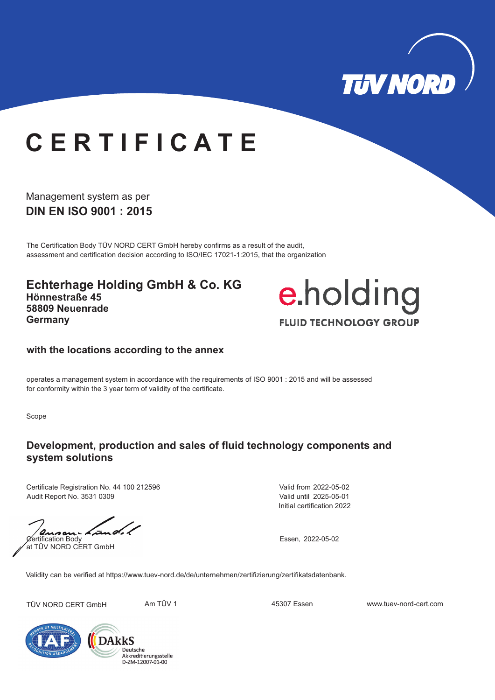

# **C E R T I F I C A T E**

**DIN EN ISO 9001 : 2015** Management system as per

The Certification Body TÜV NORD CERT GmbH hereby confirms as a result of the audit, assessment and certification decision according to ISO/IEC 17021-1:2015, that the organization

**Echterhage Holding GmbH & Co. KG Hönnestraße 45 58809 Neuenrade Germany**



#### **with the locations according to the annex**

operates a management system in accordance with the requirements of ISO 9001 : 2015 and will be assessed for conformity within the 3 year term of validity of the certificate.

Scope

### **Development, production and sales of fluid technology components and system solutions**

Certificate Registration No. 44 100 212596 Audit Report No. 3531 0309

tura di  $\lambda$ an $\lambda$ Certification Body Essen, 2022-05-02 at TÜV NORD CERT GmbH

Initial certification 2022 Valid from 2022-05-02 Valid until 2025-05-01

Validity can be verified at https://www.tuev-nord.de/de/unternehmen/zertifizierung/zertifikatsdatenbank.

TÜV NORD CERT GmbH Am TÜV 1 45307 Essen www.tuev-nord-cert.com